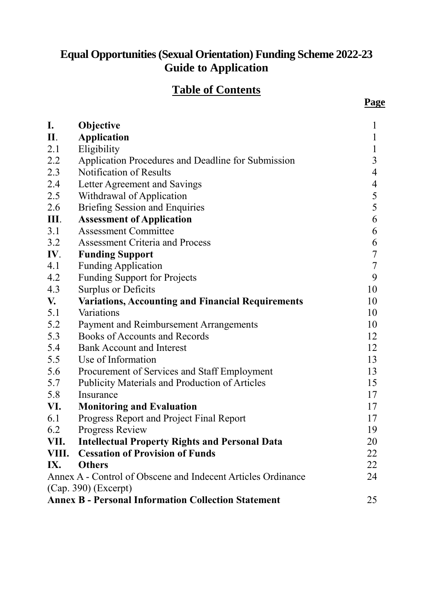# **Equal Opportunities (Sexual Orientation) Funding Scheme 2022-23 Guide to Application**

# **Table of Contents**

| I.                                                               |                                                                               | 1                |  |
|------------------------------------------------------------------|-------------------------------------------------------------------------------|------------------|--|
| II.                                                              | Objective<br><b>Application</b>                                               | 1                |  |
| 2.1                                                              | Eligibility                                                                   | 1                |  |
|                                                                  |                                                                               | $\overline{3}$   |  |
| 2.2                                                              | Application Procedures and Deadline for Submission<br>Notification of Results |                  |  |
| 2.3                                                              |                                                                               | 4                |  |
| 2.4                                                              | Letter Agreement and Savings                                                  | $\overline{4}$   |  |
| 2.5                                                              | Withdrawal of Application                                                     | 5                |  |
| 2.6                                                              | <b>Briefing Session and Enquiries</b>                                         | 5                |  |
| III.                                                             | <b>Assessment of Application</b>                                              | 6                |  |
| 3.1                                                              | <b>Assessment Committee</b>                                                   | 6                |  |
| 3.2                                                              | <b>Assessment Criteria and Process</b>                                        | 6                |  |
| IV.                                                              | <b>Funding Support</b>                                                        | $\overline{7}$   |  |
| 4.1                                                              | <b>Funding Application</b>                                                    | $\boldsymbol{7}$ |  |
| 4.2                                                              | <b>Funding Support for Projects</b>                                           | 9                |  |
| 4.3                                                              | <b>Surplus or Deficits</b>                                                    | 10               |  |
| V.                                                               | <b>Variations, Accounting and Financial Requirements</b>                      | 10               |  |
| 5.1                                                              | Variations                                                                    | 10               |  |
| 5.2                                                              | Payment and Reimbursement Arrangements                                        | 10               |  |
| 5.3                                                              | <b>Books of Accounts and Records</b>                                          | 12               |  |
| 5.4                                                              | <b>Bank Account and Interest</b>                                              | 12               |  |
| 5.5                                                              | Use of Information                                                            | 13               |  |
| 5.6                                                              | Procurement of Services and Staff Employment                                  | 13               |  |
| 5.7                                                              | Publicity Materials and Production of Articles                                | 15               |  |
| 5.8                                                              | Insurance                                                                     | 17               |  |
| VI.                                                              | <b>Monitoring and Evaluation</b>                                              | 17               |  |
| 6.1                                                              | Progress Report and Project Final Report                                      | 17               |  |
| 6.2                                                              | Progress Review                                                               | 19               |  |
| VII.                                                             | <b>Intellectual Property Rights and Personal Data</b>                         | 20               |  |
| VIII.                                                            | <b>Cessation of Provision of Funds</b>                                        | 22               |  |
| IX.                                                              | <b>Others</b>                                                                 | 22               |  |
|                                                                  | Annex A - Control of Obscene and Indecent Articles Ordinance                  | 24               |  |
| $(Cap. 390)$ (Excerpt)                                           |                                                                               |                  |  |
| <b>Annex B - Personal Information Collection Statement</b><br>25 |                                                                               |                  |  |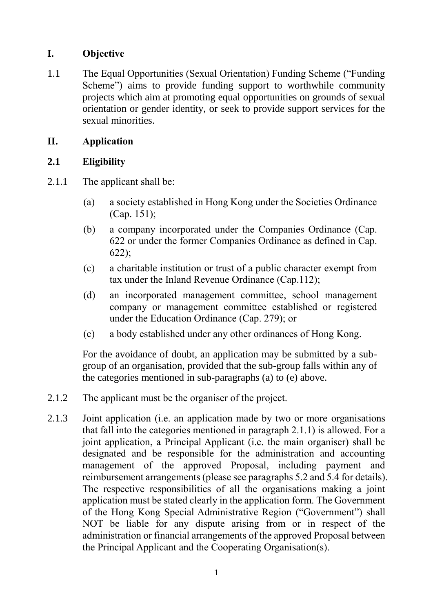## **I. Objective**

1.1 The Equal Opportunities (Sexual Orientation) Funding Scheme ("Funding Scheme") aims to provide funding support to worthwhile community projects which aim at promoting equal opportunities on grounds of sexual orientation or gender identity, or seek to provide support services for the sexual minorities.

## <span id="page-1-0"></span>**II. Application**

## <span id="page-1-1"></span>**2.1 Eligibility**

- 2.1.1 The applicant shall be:
	- (a) a society established in Hong Kong under the Societies Ordinance (Cap. 151);
	- (b) a company incorporated under the Companies Ordinance (Cap. 622 or under the former Companies Ordinance as defined in Cap. 622);
	- (c) a charitable institution or trust of a public character exempt from tax under the Inland Revenue Ordinance (Cap.112);
	- (d) an incorporated management committee, school management company or management committee established or registered under the Education Ordinance (Cap. 279); or
	- (e) a body established under any other ordinances of Hong Kong.

For the avoidance of doubt, an application may be submitted by a subgroup of an organisation, provided that the sub-group falls within any of the categories mentioned in sub-paragraphs (a) to (e) above.

- 2.1.2 The applicant must be the organiser of the project.
- 2.1.3 Joint application (i.e. an application made by two or more organisations that fall into the categories mentioned in paragraph 2.1.1) is allowed. For a joint application, a Principal Applicant (i.e. the main organiser) shall be designated and be responsible for the administration and accounting management of the approved Proposal, including payment and reimbursement arrangements (please see paragraphs 5.2 and 5.4 for details). The respective responsibilities of all the organisations making a joint application must be stated clearly in the application form. The Government of the Hong Kong Special Administrative Region ("Government") shall NOT be liable for any dispute arising from or in respect of the administration or financial arrangements of the approved Proposal between the Principal Applicant and the Cooperating Organisation(s).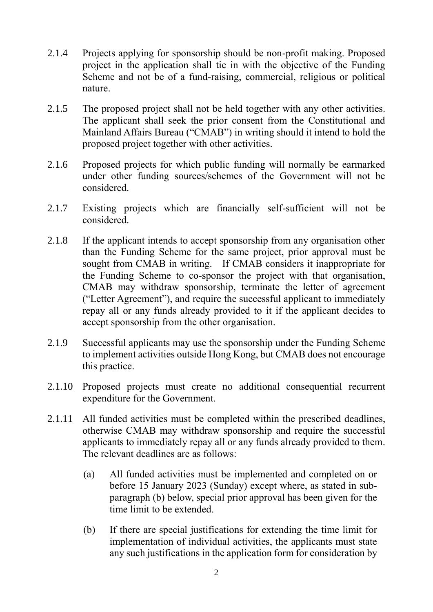- 2.1.4 Projects applying for sponsorship should be non-profit making. Proposed project in the application shall tie in with the objective of the Funding Scheme and not be of a fund-raising, commercial, religious or political nature.
- 2.1.5 The proposed project shall not be held together with any other activities. The applicant shall seek the prior consent from the Constitutional and Mainland Affairs Bureau ("CMAB") in writing should it intend to hold the proposed project together with other activities.
- 2.1.6 Proposed projects for which public funding will normally be earmarked under other funding sources/schemes of the Government will not be considered.
- 2.1.7 Existing projects which are financially self-sufficient will not be considered.
- 2.1.8 If the applicant intends to accept sponsorship from any organisation other than the Funding Scheme for the same project, prior approval must be sought from CMAB in writing. If CMAB considers it inappropriate for the Funding Scheme to co-sponsor the project with that organisation, CMAB may withdraw sponsorship, terminate the letter of agreement ("Letter Agreement"), and require the successful applicant to immediately repay all or any funds already provided to it if the applicant decides to accept sponsorship from the other organisation.
- 2.1.9 Successful applicants may use the sponsorship under the Funding Scheme to implement activities outside Hong Kong, but CMAB does not encourage this practice.
- 2.1.10 Proposed projects must create no additional consequential recurrent expenditure for the Government.
- 2.1.11 All funded activities must be completed within the prescribed deadlines, otherwise CMAB may withdraw sponsorship and require the successful applicants to immediately repay all or any funds already provided to them. The relevant deadlines are as follows:
	- (a) All funded activities must be implemented and completed on or before 15 January 2023 (Sunday) except where, as stated in subparagraph (b) below, special prior approval has been given for the time limit to be extended.
	- (b) If there are special justifications for extending the time limit for implementation of individual activities, the applicants must state any such justifications in the application form for consideration by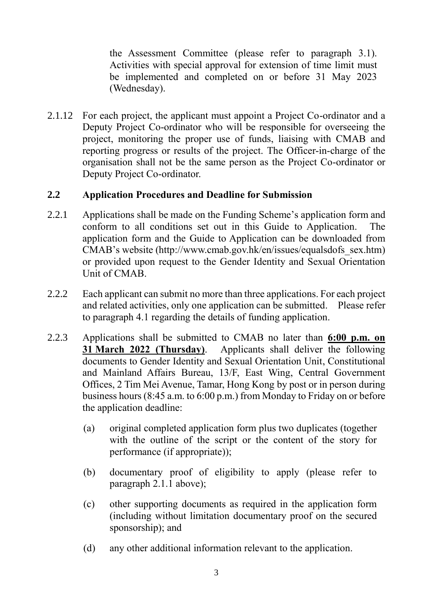the Assessment Committee (please refer to paragraph 3.1). Activities with special approval for extension of time limit must be implemented and completed on or before 31 May 2023 (Wednesday).

2.1.12 For each project, the applicant must appoint a Project Co-ordinator and a Deputy Project Co-ordinator who will be responsible for overseeing the project, monitoring the proper use of funds, liaising with CMAB and reporting progress or results of the project. The Officer-in-charge of the organisation shall not be the same person as the Project Co-ordinator or Deputy Project Co-ordinator.

## <span id="page-3-0"></span>**2.2 Application Procedures and Deadline for Submission**

- 2.2.1 Applications shall be made on the Funding Scheme's application form and conform to all conditions set out in this Guide to Application. The application form and the Guide to Application can be downloaded from CMAB's website (http://www.cmab.gov.hk/en/issues/equalsdofs\_sex.htm) or provided upon request to the Gender Identity and Sexual Orientation Unit of CMAB.
- 2.2.2 Each applicant can submit no more than three applications. For each project and related activities, only one application can be submitted. Please refer to paragraph 4.1 regarding the details of funding application.
- 2.2.3 Applications shall be submitted to CMAB no later than **6:00 p.m. on 31 March 2022 (Thursday)**. Applicants shall deliver the following documents to Gender Identity and Sexual Orientation Unit, Constitutional and Mainland Affairs Bureau, 13/F, East Wing, Central Government Offices, 2 Tim Mei Avenue, Tamar, Hong Kong by post or in person during business hours (8:45 a.m. to 6:00 p.m.) from Monday to Friday on or before the application deadline:
	- (a) original completed application form plus two duplicates (together with the outline of the script or the content of the story for performance (if appropriate));
	- (b) documentary proof of eligibility to apply (please refer to paragraph 2.1.1 above);
	- (c) other supporting documents as required in the application form (including without limitation documentary proof on the secured sponsorship); and
	- (d) any other additional information relevant to the application.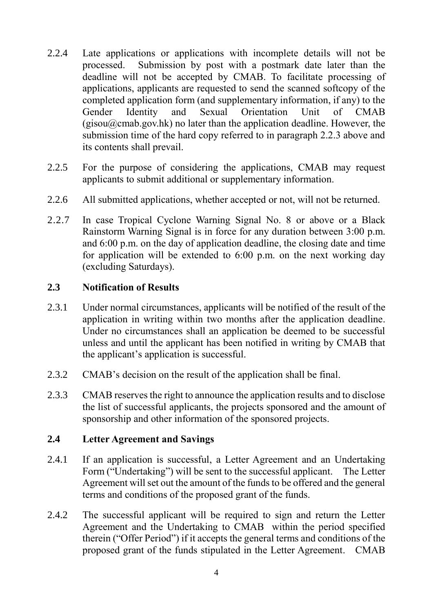- 2.2.4 Late applications or applications with incomplete details will not be processed. Submission by post with a postmark date later than the deadline will not be accepted by CMAB. To facilitate processing of applications, applicants are requested to send the scanned softcopy of the completed application form (and supplementary information, if any) to the Gender Identity and Sexual Orientation Unit of CMAB  $(gisou@cmab.gov.hk)$  no later than the application deadline. However, the submission time of the hard copy referred to in paragraph 2.2.3 above and its contents shall prevail.
- 2.2.5 For the purpose of considering the applications, CMAB may request applicants to submit additional or supplementary information.
- 2.2.6 All submitted applications, whether accepted or not, will not be returned.
- 2.2.7 In case Tropical Cyclone Warning Signal No. 8 or above or a Black Rainstorm Warning Signal is in force for any duration between 3:00 p.m. and 6:00 p.m. on the day of application deadline, the closing date and time for application will be extended to 6:00 p.m. on the next working day (excluding Saturdays).

## <span id="page-4-0"></span>**2.3 Notification of Results**

- 2.3.1 Under normal circumstances, applicants will be notified of the result of the application in writing within two months after the application deadline. Under no circumstances shall an application be deemed to be successful unless and until the applicant has been notified in writing by CMAB that the applicant's application is successful.
- 2.3.2 CMAB's decision on the result of the application shall be final.
- 2.3.3 CMAB reserves the right to announce the application results and to disclose the list of successful applicants, the projects sponsored and the amount of sponsorship and other information of the sponsored projects.

## <span id="page-4-1"></span>**2.4 Letter Agreement and Savings**

- 2.4.1 If an application is successful, a Letter Agreement and an Undertaking Form ("Undertaking") will be sent to the successful applicant. The Letter Agreement will set out the amount of the funds to be offered and the general terms and conditions of the proposed grant of the funds.
- 2.4.2 The successful applicant will be required to sign and return the Letter Agreement and the Undertaking to CMAB within the period specified therein ("Offer Period") if it accepts the general terms and conditions of the proposed grant of the funds stipulated in the Letter Agreement. CMAB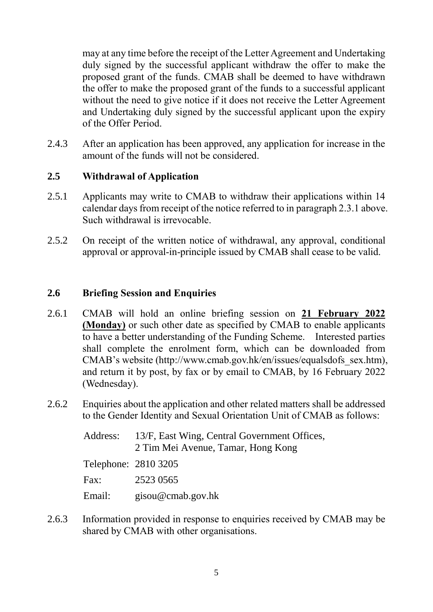may at any time before the receipt of the Letter Agreement and Undertaking duly signed by the successful applicant withdraw the offer to make the proposed grant of the funds. CMAB shall be deemed to have withdrawn the offer to make the proposed grant of the funds to a successful applicant without the need to give notice if it does not receive the Letter Agreement and Undertaking duly signed by the successful applicant upon the expiry of the Offer Period.

2.4.3 After an application has been approved, any application for increase in the amount of the funds will not be considered.

## <span id="page-5-0"></span>**2.5 Withdrawal of Application**

- 2.5.1 Applicants may write to CMAB to withdraw their applications within 14 calendar days from receipt of the notice referred to in paragraph 2.3.1 above. Such withdrawal is irrevocable.
- 2.5.2 On receipt of the written notice of withdrawal, any approval, conditional approval or approval-in-principle issued by CMAB shall cease to be valid.

## <span id="page-5-1"></span>**2.6 Briefing Session and Enquiries**

- 2.6.1 CMAB will hold an online briefing session on **21 February 2022 (Monday)** or such other date as specified by CMAB to enable applicants to have a better understanding of the Funding Scheme. Interested parties shall complete the enrolment form, which can be downloaded from CMAB's website (http://www.cmab.gov.hk/en/issues/equalsdofs\_sex.htm), and return it by post, by fax or by email to CMAB, by 16 February 2022 (Wednesday).
- 2.6.2 Enquiries about the application and other related matters shall be addressed to the Gender Identity and Sexual Orientation Unit of CMAB as follows:

|                      | Address: 13/F, East Wing, Central Government Offices,<br>2 Tim Mei Avenue, Tamar, Hong Kong |
|----------------------|---------------------------------------------------------------------------------------------|
| Telephone: 2810 3205 |                                                                                             |
| Fax:                 | 2523 0565                                                                                   |
| Email:               | $\text{g}$ isou@cmab.gov.hk                                                                 |

2.6.3 Information provided in response to enquiries received by CMAB may be shared by CMAB with other organisations.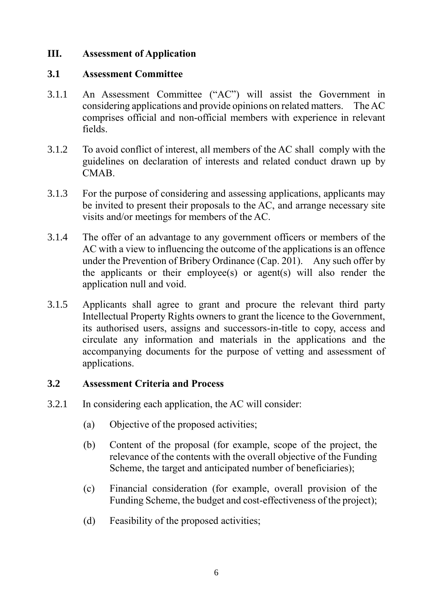## <span id="page-6-0"></span>**III. Assessment of Application**

#### <span id="page-6-1"></span>**3.1 Assessment Committee**

- 3.1.1 An Assessment Committee ("AC") will assist the Government in considering applications and provide opinions on related matters. The AC comprises official and non-official members with experience in relevant fields.
- 3.1.2 To avoid conflict of interest, all members of the AC shall comply with the guidelines on declaration of interests and related conduct drawn up by CMAB.
- 3.1.3 For the purpose of considering and assessing applications, applicants may be invited to present their proposals to the AC, and arrange necessary site visits and/or meetings for members of the AC.
- 3.1.4 The offer of an advantage to any government officers or members of the AC with a view to influencing the outcome of the applications is an offence under the Prevention of Bribery Ordinance (Cap. 201). Any such offer by the applicants or their employee(s) or agent(s) will also render the application null and void.
- 3.1.5 Applicants shall agree to grant and procure the relevant third party Intellectual Property Rights owners to grant the licence to the Government, its authorised users, assigns and successors-in-title to copy, access and circulate any information and materials in the applications and the accompanying documents for the purpose of vetting and assessment of applications.

## <span id="page-6-2"></span>**3.2 Assessment Criteria and Process**

- 3.2.1 In considering each application, the AC will consider:
	- (a) Objective of the proposed activities;
	- (b) Content of the proposal (for example, scope of the project, the relevance of the contents with the overall objective of the Funding Scheme, the target and anticipated number of beneficiaries);
	- (c) Financial consideration (for example, overall provision of the Funding Scheme, the budget and cost-effectiveness of the project);
	- (d) Feasibility of the proposed activities;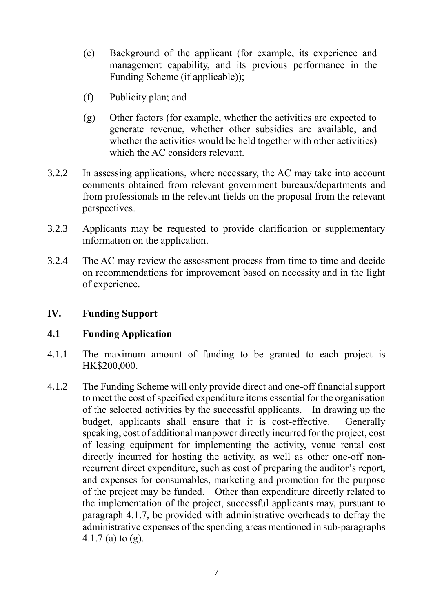- (e) Background of the applicant (for example, its experience and management capability, and its previous performance in the Funding Scheme (if applicable));
- (f) Publicity plan; and
- (g) Other factors (for example, whether the activities are expected to generate revenue, whether other subsidies are available, and whether the activities would be held together with other activities) which the AC considers relevant.
- 3.2.2 In assessing applications, where necessary, the AC may take into account comments obtained from relevant government bureaux/departments and from professionals in the relevant fields on the proposal from the relevant perspectives.
- 3.2.3 Applicants may be requested to provide clarification or supplementary information on the application.
- 3.2.4 The AC may review the assessment process from time to time and decide on recommendations for improvement based on necessity and in the light of experience.

## <span id="page-7-0"></span>**IV. Funding Support**

## <span id="page-7-1"></span>**4.1 Funding Application**

- 4.1.1 The maximum amount of funding to be granted to each project is HK\$200,000.
- 4.1.2 The Funding Scheme will only provide direct and one-off financial support to meet the cost of specified expenditure items essential for the organisation of the selected activities by the successful applicants. In drawing up the budget, applicants shall ensure that it is cost-effective. Generally speaking, cost of additional manpower directly incurred for the project, cost of leasing equipment for implementing the activity, venue rental cost directly incurred for hosting the activity, as well as other one-off nonrecurrent direct expenditure, such as cost of preparing the auditor's report, and expenses for consumables, marketing and promotion for the purpose of the project may be funded. Other than expenditure directly related to the implementation of the project, successful applicants may, pursuant to paragraph 4.1.7, be provided with administrative overheads to defray the administrative expenses of the spending areas mentioned in sub-paragraphs 4.1.7 (a) to (g).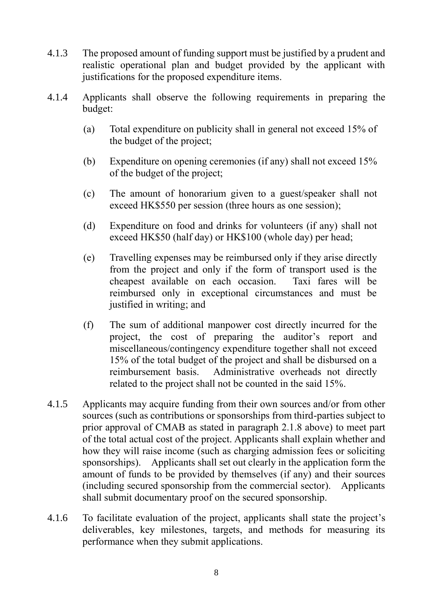- 4.1.3 The proposed amount of funding support must be justified by a prudent and realistic operational plan and budget provided by the applicant with justifications for the proposed expenditure items.
- 4.1.4 Applicants shall observe the following requirements in preparing the budget:
	- (a) Total expenditure on publicity shall in general not exceed 15% of the budget of the project;
	- (b) Expenditure on opening ceremonies (if any) shall not exceed 15% of the budget of the project;
	- (c) The amount of honorarium given to a guest/speaker shall not exceed HK\$550 per session (three hours as one session);
	- (d) Expenditure on food and drinks for volunteers (if any) shall not exceed HK\$50 (half day) or HK\$100 (whole day) per head;
	- (e) Travelling expenses may be reimbursed only if they arise directly from the project and only if the form of transport used is the cheapest available on each occasion. Taxi fares will be reimbursed only in exceptional circumstances and must be justified in writing; and
	- (f) The sum of additional manpower cost directly incurred for the project, the cost of preparing the auditor's report and miscellaneous/contingency expenditure together shall not exceed 15% of the total budget of the project and shall be disbursed on a reimbursement basis. Administrative overheads not directly related to the project shall not be counted in the said 15%.
- 4.1.5 Applicants may acquire funding from their own sources and/or from other sources (such as contributions or sponsorships from third-parties subject to prior approval of CMAB as stated in paragraph 2.1.8 above) to meet part of the total actual cost of the project. Applicants shall explain whether and how they will raise income (such as charging admission fees or soliciting sponsorships). Applicants shall set out clearly in the application form the amount of funds to be provided by themselves (if any) and their sources (including secured sponsorship from the commercial sector). Applicants shall submit documentary proof on the secured sponsorship.
- 4.1.6 To facilitate evaluation of the project, applicants shall state the project's deliverables, key milestones, targets, and methods for measuring its performance when they submit applications.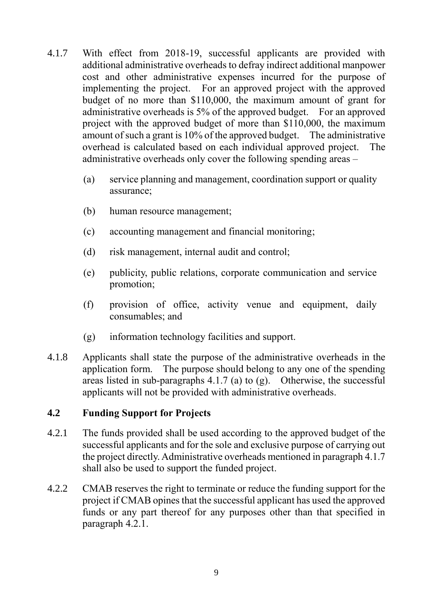- 4.1.7 With effect from 2018-19, successful applicants are provided with additional administrative overheads to defray indirect additional manpower cost and other administrative expenses incurred for the purpose of implementing the project. For an approved project with the approved budget of no more than \$110,000, the maximum amount of grant for administrative overheads is 5% of the approved budget. For an approved project with the approved budget of more than \$110,000, the maximum amount of such a grant is 10% of the approved budget. The administrative overhead is calculated based on each individual approved project. The administrative overheads only cover the following spending areas –
	- (a) service planning and management, coordination support or quality assurance;
	- (b) human resource management;
	- (c) accounting management and financial monitoring;
	- (d) risk management, internal audit and control;
	- (e) publicity, public relations, corporate communication and service promotion;
	- (f) provision of office, activity venue and equipment, daily consumables; and
	- (g) information technology facilities and support.
- 4.1.8 Applicants shall state the purpose of the administrative overheads in the application form. The purpose should belong to any one of the spending areas listed in sub-paragraphs  $4.1.7$  (a) to (g). Otherwise, the successful applicants will not be provided with administrative overheads.

## <span id="page-9-0"></span>**4.2 Funding Support for Projects**

- 4.2.1 The funds provided shall be used according to the approved budget of the successful applicants and for the sole and exclusive purpose of carrying out the project directly. Administrative overheads mentioned in paragraph 4.1.7 shall also be used to support the funded project.
- 4.2.2 CMAB reserves the right to terminate or reduce the funding support for the project if CMAB opines that the successful applicant has used the approved funds or any part thereof for any purposes other than that specified in paragraph 4.2.1.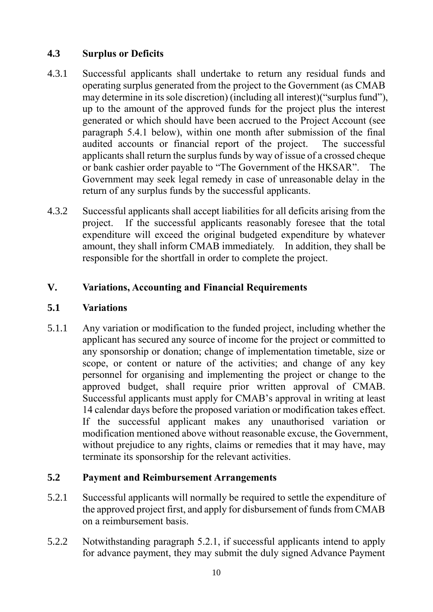## <span id="page-10-0"></span>**4.3 Surplus or Deficits**

- 4.3.1 Successful applicants shall undertake to return any residual funds and operating surplus generated from the project to the Government (as CMAB may determine in its sole discretion) (including all interest)("surplus fund"), up to the amount of the approved funds for the project plus the interest generated or which should have been accrued to the Project Account (see paragraph 5.4.1 below), within one month after submission of the final audited accounts or financial report of the project. The successful applicants shall return the surplus funds by way of issue of a crossed cheque or bank cashier order payable to "The Government of the HKSAR". The Government may seek legal remedy in case of unreasonable delay in the return of any surplus funds by the successful applicants.
- 4.3.2 Successful applicants shall accept liabilities for all deficits arising from the project. If the successful applicants reasonably foresee that the total expenditure will exceed the original budgeted expenditure by whatever amount, they shall inform CMAB immediately. In addition, they shall be responsible for the shortfall in order to complete the project.

## <span id="page-10-1"></span>**V. Variations, Accounting and Financial Requirements**

## <span id="page-10-2"></span>**5.1 Variations**

5.1.1 Any variation or modification to the funded project, including whether the applicant has secured any source of income for the project or committed to any sponsorship or donation; change of implementation timetable, size or scope, or content or nature of the activities; and change of any key personnel for organising and implementing the project or change to the approved budget, shall require prior written approval of CMAB. Successful applicants must apply for CMAB's approval in writing at least 14 calendar days before the proposed variation or modification takes effect. If the successful applicant makes any unauthorised variation or modification mentioned above without reasonable excuse, the Government, without prejudice to any rights, claims or remedies that it may have, may terminate its sponsorship for the relevant activities.

## <span id="page-10-3"></span>**5.2 Payment and Reimbursement Arrangements**

- 5.2.1 Successful applicants will normally be required to settle the expenditure of the approved project first, and apply for disbursement of funds from CMAB on a reimbursement basis.
- 5.2.2 Notwithstanding paragraph 5.2.1, if successful applicants intend to apply for advance payment, they may submit the duly signed Advance Payment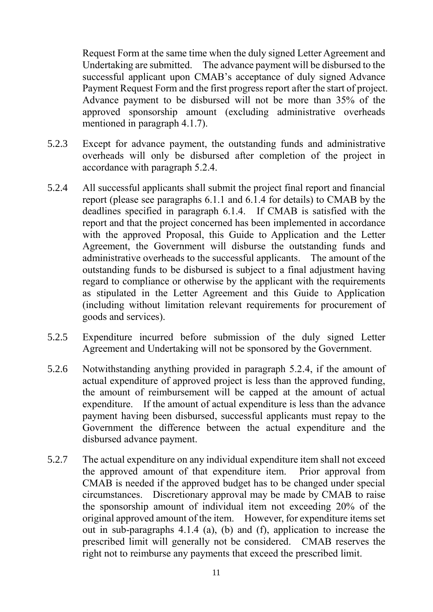Request Form at the same time when the duly signed Letter Agreement and Undertaking are submitted. The advance payment will be disbursed to the successful applicant upon CMAB's acceptance of duly signed Advance Payment Request Form and the first progress report after the start of project. Advance payment to be disbursed will not be more than 35% of the approved sponsorship amount (excluding administrative overheads mentioned in paragraph 4.1.7).

- 5.2.3 Except for advance payment, the outstanding funds and administrative overheads will only be disbursed after completion of the project in accordance with paragraph 5.2.4.
- 5.2.4 All successful applicants shall submit the project final report and financial report (please see paragraphs 6.1.1 and 6.1.4 for details) to CMAB by the deadlines specified in paragraph 6.1.4. If CMAB is satisfied with the report and that the project concerned has been implemented in accordance with the approved Proposal, this Guide to Application and the Letter Agreement, the Government will disburse the outstanding funds and administrative overheads to the successful applicants. The amount of the outstanding funds to be disbursed is subject to a final adjustment having regard to compliance or otherwise by the applicant with the requirements as stipulated in the Letter Agreement and this Guide to Application (including without limitation relevant requirements for procurement of goods and services).
- 5.2.5 Expenditure incurred before submission of the duly signed Letter Agreement and Undertaking will not be sponsored by the Government.
- 5.2.6 Notwithstanding anything provided in paragraph 5.2.4, if the amount of actual expenditure of approved project is less than the approved funding, the amount of reimbursement will be capped at the amount of actual expenditure. If the amount of actual expenditure is less than the advance payment having been disbursed, successful applicants must repay to the Government the difference between the actual expenditure and the disbursed advance payment.
- 5.2.7 The actual expenditure on any individual expenditure item shall not exceed the approved amount of that expenditure item. Prior approval from CMAB is needed if the approved budget has to be changed under special circumstances. Discretionary approval may be made by CMAB to raise the sponsorship amount of individual item not exceeding 20% of the original approved amount of the item. However, for expenditure items set out in sub-paragraphs 4.1.4 (a), (b) and (f), application to increase the prescribed limit will generally not be considered. CMAB reserves the right not to reimburse any payments that exceed the prescribed limit.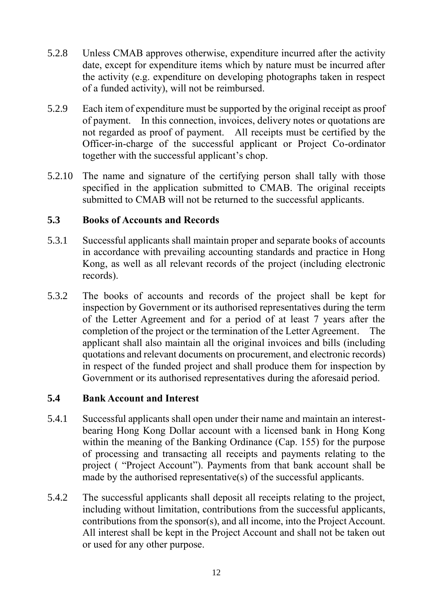- 5.2.8 Unless CMAB approves otherwise, expenditure incurred after the activity date, except for expenditure items which by nature must be incurred after the activity (e.g. expenditure on developing photographs taken in respect of a funded activity), will not be reimbursed.
- 5.2.9 Each item of expenditure must be supported by the original receipt as proof of payment. In this connection, invoices, delivery notes or quotations are not regarded as proof of payment. All receipts must be certified by the Officer-in-charge of the successful applicant or Project Co-ordinator together with the successful applicant's chop.
- 5.2.10 The name and signature of the certifying person shall tally with those specified in the application submitted to CMAB. The original receipts submitted to CMAB will not be returned to the successful applicants.

## <span id="page-12-0"></span>**5.3 Books of Accounts and Records**

- 5.3.1 Successful applicants shall maintain proper and separate books of accounts in accordance with prevailing accounting standards and practice in Hong Kong, as well as all relevant records of the project (including electronic records).
- 5.3.2 The books of accounts and records of the project shall be kept for inspection by Government or its authorised representatives during the term of the Letter Agreement and for a period of at least 7 years after the completion of the project or the termination of the Letter Agreement. The applicant shall also maintain all the original invoices and bills (including quotations and relevant documents on procurement, and electronic records) in respect of the funded project and shall produce them for inspection by Government or its authorised representatives during the aforesaid period.

## <span id="page-12-1"></span>**5.4 Bank Account and Interest**

- 5.4.1 Successful applicants shall open under their name and maintain an interestbearing Hong Kong Dollar account with a licensed bank in Hong Kong within the meaning of the Banking Ordinance (Cap. 155) for the purpose of processing and transacting all receipts and payments relating to the project ( "Project Account"). Payments from that bank account shall be made by the authorised representative(s) of the successful applicants.
- 5.4.2 The successful applicants shall deposit all receipts relating to the project, including without limitation, contributions from the successful applicants, contributions from the sponsor(s), and all income, into the Project Account. All interest shall be kept in the Project Account and shall not be taken out or used for any other purpose.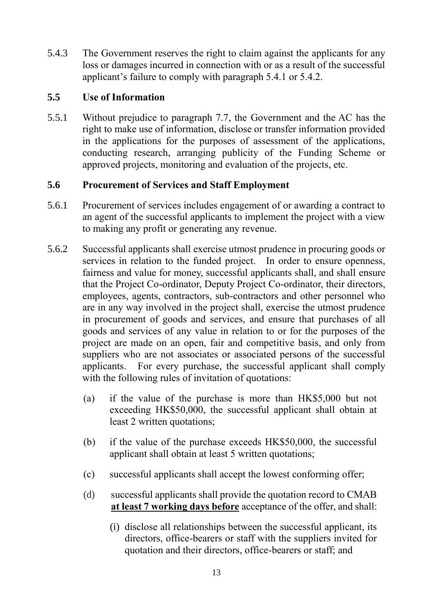5.4.3 The Government reserves the right to claim against the applicants for any loss or damages incurred in connection with or as a result of the successful applicant's failure to comply with paragraph 5.4.1 or 5.4.2.

## <span id="page-13-0"></span>**5.5 Use of Information**

5.5.1 Without prejudice to paragraph 7.7, the Government and the AC has the right to make use of information, disclose or transfer information provided in the applications for the purposes of assessment of the applications, conducting research, arranging publicity of the Funding Scheme or approved projects, monitoring and evaluation of the projects, etc.

## <span id="page-13-1"></span>**5.6 Procurement of Services and Staff Employment**

- 5.6.1 Procurement of services includes engagement of or awarding a contract to an agent of the successful applicants to implement the project with a view to making any profit or generating any revenue.
- 5.6.2 Successful applicants shall exercise utmost prudence in procuring goods or services in relation to the funded project. In order to ensure openness, fairness and value for money, successful applicants shall, and shall ensure that the Project Co-ordinator, Deputy Project Co-ordinator, their directors, employees, agents, contractors, sub-contractors and other personnel who are in any way involved in the project shall, exercise the utmost prudence in procurement of goods and services, and ensure that purchases of all goods and services of any value in relation to or for the purposes of the project are made on an open, fair and competitive basis, and only from suppliers who are not associates or associated persons of the successful applicants. For every purchase, the successful applicant shall comply with the following rules of invitation of quotations:
	- (a) if the value of the purchase is more than HK\$5,000 but not exceeding HK\$50,000, the successful applicant shall obtain at least 2 written quotations;
	- (b) if the value of the purchase exceeds HK\$50,000, the successful applicant shall obtain at least 5 written quotations;
	- (c) successful applicants shall accept the lowest conforming offer;
	- (d) successful applicants shall provide the quotation record to CMAB **at least 7 working days before** acceptance of the offer, and shall:
		- (i) disclose all relationships between the successful applicant, its directors, office-bearers or staff with the suppliers invited for quotation and their directors, office-bearers or staff; and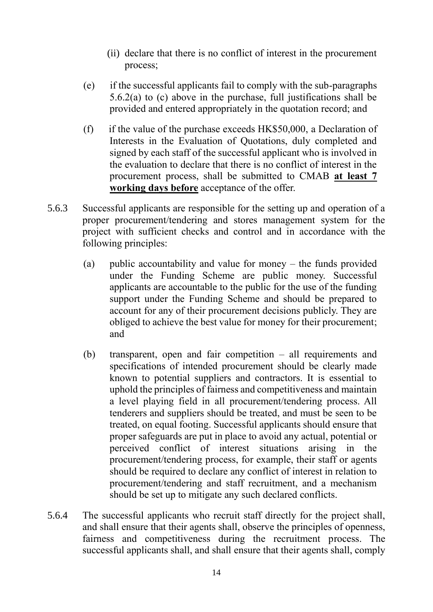- (ii) declare that there is no conflict of interest in the procurement process;
- (e) if the successful applicants fail to comply with the sub-paragraphs 5.6.2(a) to (c) above in the purchase, full justifications shall be provided and entered appropriately in the quotation record; and
- (f) if the value of the purchase exceeds  $HK$50,000$ , a Declaration of Interests in the Evaluation of Quotations, duly completed and signed by each staff of the successful applicant who is involved in the evaluation to declare that there is no conflict of interest in the procurement process, shall be submitted to CMAB **at least 7 working days before** acceptance of the offer.
- 5.6.3 Successful applicants are responsible for the setting up and operation of a proper procurement/tendering and stores management system for the project with sufficient checks and control and in accordance with the following principles:
	- (a) public accountability and value for money the funds provided under the Funding Scheme are public money. Successful applicants are accountable to the public for the use of the funding support under the Funding Scheme and should be prepared to account for any of their procurement decisions publicly. They are obliged to achieve the best value for money for their procurement; and
	- (b) transparent, open and fair competition all requirements and specifications of intended procurement should be clearly made known to potential suppliers and contractors. It is essential to uphold the principles of fairness and competitiveness and maintain a level playing field in all procurement/tendering process. All tenderers and suppliers should be treated, and must be seen to be treated, on equal footing. Successful applicants should ensure that proper safeguards are put in place to avoid any actual, potential or perceived conflict of interest situations arising in the procurement/tendering process, for example, their staff or agents should be required to declare any conflict of interest in relation to procurement/tendering and staff recruitment, and a mechanism should be set up to mitigate any such declared conflicts.
- 5.6.4 The successful applicants who recruit staff directly for the project shall, and shall ensure that their agents shall, observe the principles of openness, fairness and competitiveness during the recruitment process. The successful applicants shall, and shall ensure that their agents shall, comply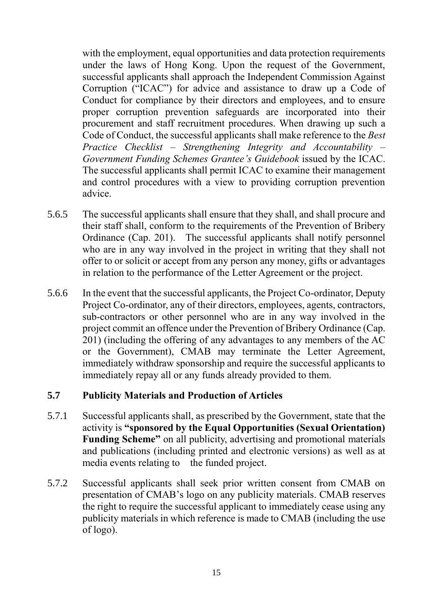with the employment, equal opportunities and data protection requirements under the laws of Hong Kong. Upon the request of the Government, successful applicants shall approach the Independent Commission Against Corruption ("ICAC") for advice and assistance to draw up a Code of Conduct for compliance by their directors and employees, and to ensure proper corruption prevention safeguards are incorporated into their procurement and staff recruitment procedures. When drawing up such a Code of Conduct, the successful applicants shall make reference to the *Best Practice Checklist – Strengthening Integrity and Accountability – Government Funding Schemes Grantee's Guidebook* issued by the ICAC. The successful applicants shall permit ICAC to examine their management and control procedures with a view to providing corruption prevention advice.

- 5.6.5 The successful applicants shall ensure that they shall, and shall procure and their staff shall, conform to the requirements of the Prevention of Bribery Ordinance (Cap. 201). The successful applicants shall notify personnel who are in any way involved in the project in writing that they shall not offer to or solicit or accept from any person any money, gifts or advantages in relation to the performance of the Letter Agreement or the project.
- 5.6.6 In the event that the successful applicants, the Project Co-ordinator, Deputy Project Co-ordinator, any of their directors, employees, agents, contractors, sub-contractors or other personnel who are in any way involved in the project commit an offence under the Prevention of Bribery Ordinance (Cap. 201) (including the offering of any advantages to any members of the AC or the Government), CMAB may terminate the Letter Agreement, immediately withdraw sponsorship and require the successful applicants to immediately repay all or any funds already provided to them.

## <span id="page-15-0"></span>**5.7 Publicity Materials and Production of Articles**

- 5.7.1 Successful applicants shall, as prescribed by the Government, state that the activity is **"sponsored by the Equal Opportunities (Sexual Orientation) Funding Scheme"** on all publicity, advertising and promotional materials and publications (including printed and electronic versions) as well as at media events relating to the funded project.
- 5.7.2 Successful applicants shall seek prior written consent from CMAB on presentation of CMAB's logo on any publicity materials. CMAB reserves the right to require the successful applicant to immediately cease using any publicity materials in which reference is made to CMAB (including the use of logo).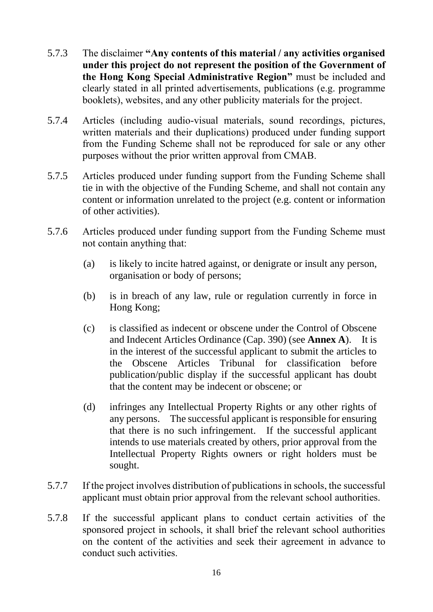- 5.7.3 The disclaimer **"Any contents of this material / any activities organised under this project do not represent the position of the Government of the Hong Kong Special Administrative Region"** must be included and clearly stated in all printed advertisements, publications (e.g. programme booklets), websites, and any other publicity materials for the project.
- 5.7.4 Articles (including audio-visual materials, sound recordings, pictures, written materials and their duplications) produced under funding support from the Funding Scheme shall not be reproduced for sale or any other purposes without the prior written approval from CMAB.
- 5.7.5 Articles produced under funding support from the Funding Scheme shall tie in with the objective of the Funding Scheme, and shall not contain any content or information unrelated to the project (e.g. content or information of other activities).
- 5.7.6 Articles produced under funding support from the Funding Scheme must not contain anything that:
	- (a) is likely to incite hatred against, or denigrate or insult any person, organisation or body of persons;
	- (b) is in breach of any law, rule or regulation currently in force in Hong Kong;
	- (c) is classified as indecent or obscene under the Control of Obscene and Indecent Articles Ordinance (Cap. 390) (see **Annex A**). It is in the interest of the successful applicant to submit the articles to the Obscene Articles Tribunal for classification before publication/public display if the successful applicant has doubt that the content may be indecent or obscene; or
	- (d) infringes any Intellectual Property Rights or any other rights of any persons. The successful applicant is responsible for ensuring that there is no such infringement. If the successful applicant intends to use materials created by others, prior approval from the Intellectual Property Rights owners or right holders must be sought.
- 5.7.7 If the project involves distribution of publications in schools, the successful applicant must obtain prior approval from the relevant school authorities.
- 5.7.8 If the successful applicant plans to conduct certain activities of the sponsored project in schools, it shall brief the relevant school authorities on the content of the activities and seek their agreement in advance to conduct such activities.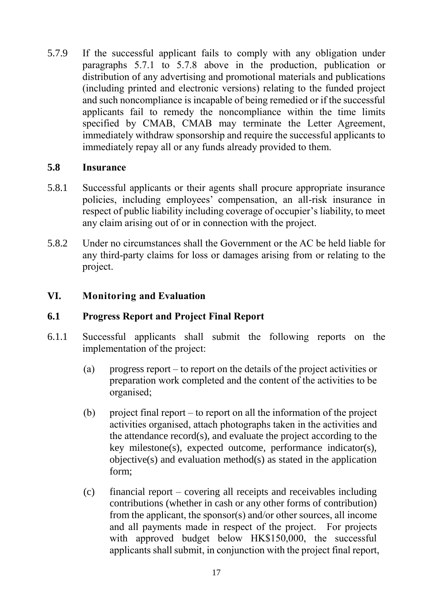5.7.9 If the successful applicant fails to comply with any obligation under paragraphs 5.7.1 to 5.7.8 above in the production, publication or distribution of any advertising and promotional materials and publications (including printed and electronic versions) relating to the funded project and such noncompliance is incapable of being remedied or if the successful applicants fail to remedy the noncompliance within the time limits specified by CMAB, CMAB may terminate the Letter Agreement, immediately withdraw sponsorship and require the successful applicants to immediately repay all or any funds already provided to them.

## <span id="page-17-0"></span>**5.8 Insurance**

- 5.8.1 Successful applicants or their agents shall procure appropriate insurance policies, including employees' compensation, an all-risk insurance in respect of public liability including coverage of occupier's liability, to meet any claim arising out of or in connection with the project.
- 5.8.2 Under no circumstances shall the Government or the AC be held liable for any third-party claims for loss or damages arising from or relating to the project.

## <span id="page-17-1"></span>**VI. Monitoring and Evaluation**

## <span id="page-17-2"></span>**6.1 Progress Report and Project Final Report**

- 6.1.1 Successful applicants shall submit the following reports on the implementation of the project:
	- (a) progress report to report on the details of the project activities or preparation work completed and the content of the activities to be organised;
	- (b) project final report to report on all the information of the project activities organised, attach photographs taken in the activities and the attendance record(s), and evaluate the project according to the key milestone(s), expected outcome, performance indicator(s), objective(s) and evaluation method(s) as stated in the application form;
	- (c) financial report covering all receipts and receivables including contributions (whether in cash or any other forms of contribution) from the applicant, the sponsor(s) and/or other sources, all income and all payments made in respect of the project. For projects with approved budget below HK\$150,000, the successful applicants shall submit, in conjunction with the project final report,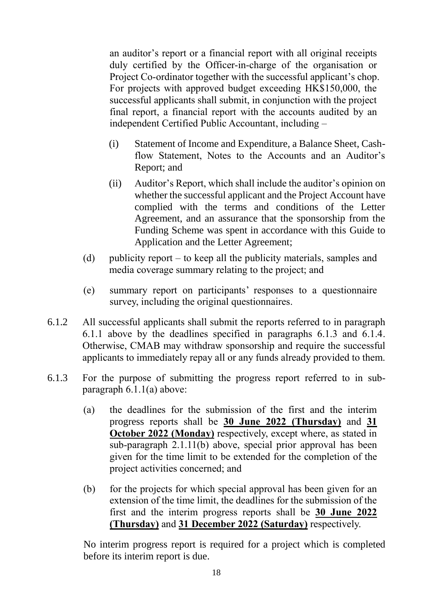an auditor's report or a financial report with all original receipts duly certified by the Officer-in-charge of the organisation or Project Co-ordinator together with the successful applicant's chop. For projects with approved budget exceeding HK\$150,000, the successful applicants shall submit, in conjunction with the project final report, a financial report with the accounts audited by an independent Certified Public Accountant, including –

- (i) Statement of Income and Expenditure, a Balance Sheet, Cashflow Statement, Notes to the Accounts and an Auditor's Report; and
- (ii) Auditor's Report, which shall include the auditor's opinion on whether the successful applicant and the Project Account have complied with the terms and conditions of the Letter Agreement, and an assurance that the sponsorship from the Funding Scheme was spent in accordance with this Guide to Application and the Letter Agreement;
- (d) publicity report to keep all the publicity materials, samples and media coverage summary relating to the project; and
- (e) summary report on participants' responses to a questionnaire survey, including the original questionnaires.
- 6.1.2 All successful applicants shall submit the reports referred to in paragraph 6.1.1 above by the deadlines specified in paragraphs 6.1.3 and 6.1.4. Otherwise, CMAB may withdraw sponsorship and require the successful applicants to immediately repay all or any funds already provided to them.
- 6.1.3 For the purpose of submitting the progress report referred to in subparagraph 6.1.1(a) above:
	- (a) the deadlines for the submission of the first and the interim progress reports shall be **30 June 2022 (Thursday)** and **31 October 2022 (Monday)** respectively, except where, as stated in sub-paragraph 2.1.11(b) above, special prior approval has been given for the time limit to be extended for the completion of the project activities concerned; and
	- (b) for the projects for which special approval has been given for an extension of the time limit, the deadlines for the submission of the first and the interim progress reports shall be **30 June 2022 (Thursday)** and **31 December 2022 (Saturday)** respectively.

No interim progress report is required for a project which is completed before its interim report is due.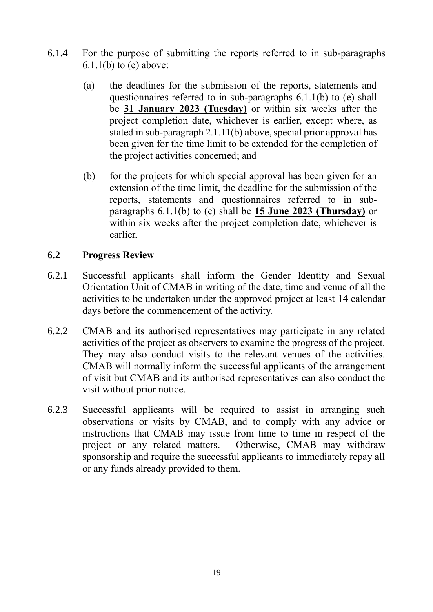- 6.1.4 For the purpose of submitting the reports referred to in sub-paragraphs  $6.1.1(b)$  to (e) above:
	- (a) the deadlines for the submission of the reports, statements and questionnaires referred to in sub-paragraphs 6.1.1(b) to (e) shall be **31 January 2023 (Tuesday)** or within six weeks after the project completion date, whichever is earlier, except where, as stated in sub-paragraph 2.1.11(b) above, special prior approval has been given for the time limit to be extended for the completion of the project activities concerned; and
	- (b) for the projects for which special approval has been given for an extension of the time limit, the deadline for the submission of the reports, statements and questionnaires referred to in subparagraphs 6.1.1(b) to (e) shall be **15 June 2023 (Thursday)** or within six weeks after the project completion date, whichever is earlier.

## <span id="page-19-0"></span>**6.2 Progress Review**

- 6.2.1 Successful applicants shall inform the Gender Identity and Sexual Orientation Unit of CMAB in writing of the date, time and venue of all the activities to be undertaken under the approved project at least 14 calendar days before the commencement of the activity.
- 6.2.2 CMAB and its authorised representatives may participate in any related activities of the project as observers to examine the progress of the project. They may also conduct visits to the relevant venues of the activities. CMAB will normally inform the successful applicants of the arrangement of visit but CMAB and its authorised representatives can also conduct the visit without prior notice.
- 6.2.3 Successful applicants will be required to assist in arranging such observations or visits by CMAB, and to comply with any advice or instructions that CMAB may issue from time to time in respect of the project or any related matters. Otherwise, CMAB may withdraw sponsorship and require the successful applicants to immediately repay all or any funds already provided to them.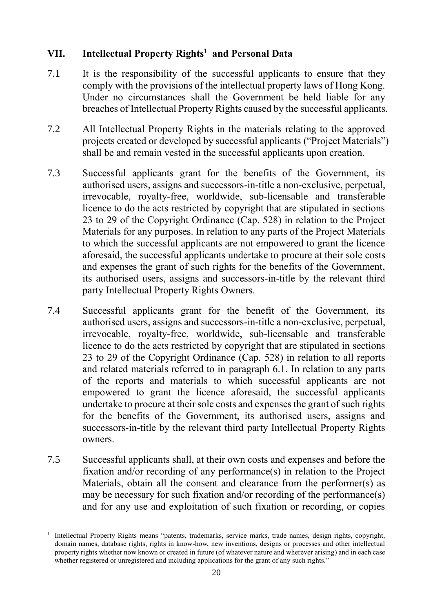# <span id="page-20-0"></span>**VII. Intellectual Property Rights<sup>1</sup> and Personal Data**

- 7.1 It is the responsibility of the successful applicants to ensure that they comply with the provisions of the intellectual property laws of Hong Kong. Under no circumstances shall the Government be held liable for any breaches of Intellectual Property Rights caused by the successful applicants.
- 7.2 All Intellectual Property Rights in the materials relating to the approved projects created or developed by successful applicants ("Project Materials") shall be and remain vested in the successful applicants upon creation.
- 7.3 Successful applicants grant for the benefits of the Government, its authorised users, assigns and successors-in-title a non-exclusive, perpetual, irrevocable, royalty-free, worldwide, sub-licensable and transferable licence to do the acts restricted by copyright that are stipulated in sections 23 to 29 of the Copyright Ordinance (Cap. 528) in relation to the Project Materials for any purposes. In relation to any parts of the Project Materials to which the successful applicants are not empowered to grant the licence aforesaid, the successful applicants undertake to procure at their sole costs and expenses the grant of such rights for the benefits of the Government, its authorised users, assigns and successors-in-title by the relevant third party Intellectual Property Rights Owners.
- 7.4 Successful applicants grant for the benefit of the Government, its authorised users, assigns and successors-in-title a non-exclusive, perpetual, irrevocable, royalty-free, worldwide, sub-licensable and transferable licence to do the acts restricted by copyright that are stipulated in sections 23 to 29 of the Copyright Ordinance (Cap. 528) in relation to all reports and related materials referred to in paragraph 6.1. In relation to any parts of the reports and materials to which successful applicants are not empowered to grant the licence aforesaid, the successful applicants undertake to procure at their sole costs and expenses the grant of such rights for the benefits of the Government, its authorised users, assigns and successors-in-title by the relevant third party Intellectual Property Rights owners.
- 7.5 Successful applicants shall, at their own costs and expenses and before the fixation and/or recording of any performance(s) in relation to the Project Materials, obtain all the consent and clearance from the performer(s) as may be necessary for such fixation and/or recording of the performance(s) and for any use and exploitation of such fixation or recording, or copies

<sup>&</sup>lt;u>.</u> 1 Intellectual Property Rights means "patents, trademarks, service marks, trade names, design rights, copyright, domain names, database rights, rights in know-how, new inventions, designs or processes and other intellectual property rights whether now known or created in future (of whatever nature and wherever arising) and in each case whether registered or unregistered and including applications for the grant of any such rights."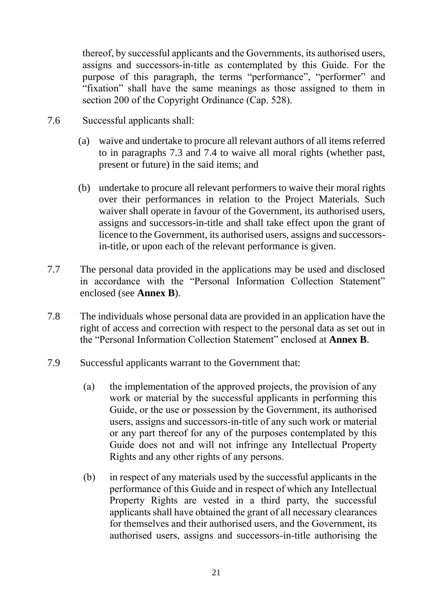thereof, by successful applicants and the Governments, its authorised users, assigns and successors-in-title as contemplated by this Guide. For the purpose of this paragraph, the terms "performance", "performer" and "fixation" shall have the same meanings as those assigned to them in section 200 of the Copyright Ordinance (Cap. 528).

- 7.6 Successful applicants shall:
	- (a) waive and undertake to procure all relevant authors of all items referred to in paragraphs 7.3 and 7.4 to waive all moral rights (whether past, present or future) in the said items; and
	- (b) undertake to procure all relevant performers to waive their moral rights over their performances in relation to the Project Materials. Such waiver shall operate in favour of the Government, its authorised users, assigns and successors-in-title and shall take effect upon the grant of licence to the Government, its authorised users, assigns and successorsin-title, or upon each of the relevant performance is given.
- 7.7 The personal data provided in the applications may be used and disclosed in accordance with the "Personal Information Collection Statement" enclosed (see **Annex B**).
- 7.8 The individuals whose personal data are provided in an application have the right of access and correction with respect to the personal data as set out in the "Personal Information Collection Statement" enclosed at **Annex B**.
- 7.9 Successful applicants warrant to the Government that:
	- (a) the implementation of the approved projects, the provision of any work or material by the successful applicants in performing this Guide, or the use or possession by the Government, its authorised users, assigns and successors-in-title of any such work or material or any part thereof for any of the purposes contemplated by this Guide does not and will not infringe any Intellectual Property Rights and any other rights of any persons.
	- (b) in respect of any materials used by the successful applicants in the performance of this Guide and in respect of which any Intellectual Property Rights are vested in a third party, the successful applicants shall have obtained the grant of all necessary clearances for themselves and their authorised users, and the Government, its authorised users, assigns and successors-in-title authorising the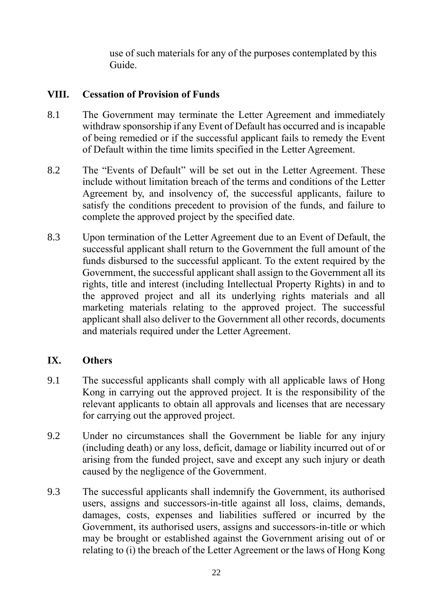use of such materials for any of the purposes contemplated by this Guide.

## <span id="page-22-0"></span>**VIII. Cessation of Provision of Funds**

- 8.1 The Government may terminate the Letter Agreement and immediately withdraw sponsorship if any Event of Default has occurred and is incapable of being remedied or if the successful applicant fails to remedy the Event of Default within the time limits specified in the Letter Agreement.
- 8.2 The "Events of Default" will be set out in the Letter Agreement. These include without limitation breach of the terms and conditions of the Letter Agreement by, and insolvency of, the successful applicants, failure to satisfy the conditions precedent to provision of the funds, and failure to complete the approved project by the specified date.
- 8.3 Upon termination of the Letter Agreement due to an Event of Default, the successful applicant shall return to the Government the full amount of the funds disbursed to the successful applicant. To the extent required by the Government, the successful applicant shall assign to the Government all its rights, title and interest (including Intellectual Property Rights) in and to the approved project and all its underlying rights materials and all marketing materials relating to the approved project. The successful applicant shall also deliver to the Government all other records, documents and materials required under the Letter Agreement.

## <span id="page-22-1"></span>**IX. Others**

- 9.1 The successful applicants shall comply with all applicable laws of Hong Kong in carrying out the approved project. It is the responsibility of the relevant applicants to obtain all approvals and licenses that are necessary for carrying out the approved project.
- 9.2 Under no circumstances shall the Government be liable for any injury (including death) or any loss, deficit, damage or liability incurred out of or arising from the funded project, save and except any such injury or death caused by the negligence of the Government.
- 9.3 The successful applicants shall indemnify the Government, its authorised users, assigns and successors-in-title against all loss, claims, demands, damages, costs, expenses and liabilities suffered or incurred by the Government, its authorised users, assigns and successors-in-title or which may be brought or established against the Government arising out of or relating to (i) the breach of the Letter Agreement or the laws of Hong Kong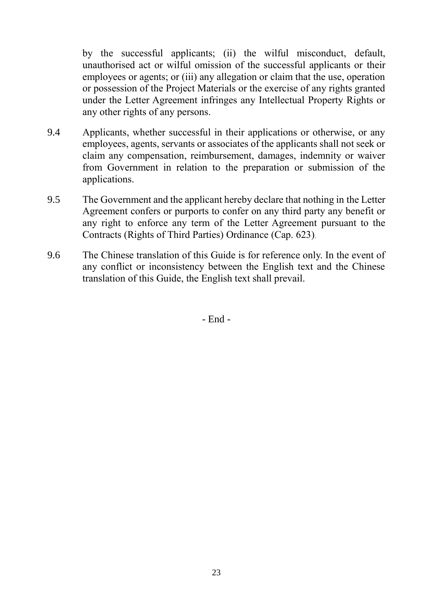by the successful applicants; (ii) the wilful misconduct, default, unauthorised act or wilful omission of the successful applicants or their employees or agents; or (iii) any allegation or claim that the use, operation or possession of the Project Materials or the exercise of any rights granted under the Letter Agreement infringes any Intellectual Property Rights or any other rights of any persons.

- 9.4 Applicants, whether successful in their applications or otherwise, or any employees, agents, servants or associates of the applicants shall not seek or claim any compensation, reimbursement, damages, indemnity or waiver from Government in relation to the preparation or submission of the applications.
- 9.5 The Government and the applicant hereby declare that nothing in the Letter Agreement confers or purports to confer on any third party any benefit or any right to enforce any term of the Letter Agreement pursuant to the Contracts (Rights of Third Parties) Ordinance (Cap. 623).
- 9.6 The Chinese translation of this Guide is for reference only. In the event of any conflict or inconsistency between the English text and the Chinese translation of this Guide, the English text shall prevail.

- End -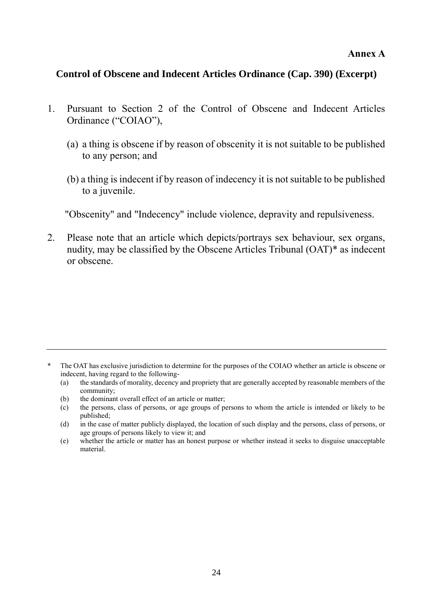#### **Annex A**

#### <span id="page-24-0"></span>**Control of Obscene and Indecent Articles Ordinance (Cap. 390) (Excerpt)**

- 1. Pursuant to Section 2 of the Control of Obscene and Indecent Articles Ordinance ("COIAO"),
	- (a) a thing is obscene if by reason of obscenity it is not suitable to be published to any person; and
	- (b) a thing is indecent if by reason of indecency it is not suitable to be published to a juvenile.

"Obscenity" and "Indecency" include violence, depravity and repulsiveness.

2. Please note that an article which depicts/portrays sex behaviour, sex organs, nudity, may be classified by the Obscene Articles Tribunal (OAT)\* as indecent or obscene.

- (b) the dominant overall effect of an article or matter;
- (c) the persons, class of persons, or age groups of persons to whom the article is intended or likely to be published;
- (d) in the case of matter publicly displayed, the location of such display and the persons, class of persons, or age groups of persons likely to view it; and

<sup>\*</sup> The OAT has exclusive jurisdiction to determine for the purposes of the COIAO whether an article is obscene or indecent, having regard to the following-

<sup>(</sup>a) the standards of morality, decency and propriety that are generally accepted by reasonable members of the community;

<sup>(</sup>e) whether the article or matter has an honest purpose or whether instead it seeks to disguise unacceptable material.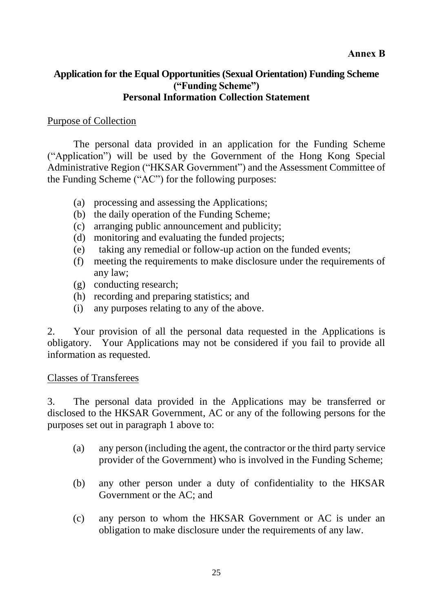## <span id="page-25-0"></span>**Application for the Equal Opportunities (Sexual Orientation) Funding Scheme ("Funding Scheme") Personal Information Collection Statement**

#### Purpose of Collection

The personal data provided in an application for the Funding Scheme ("Application") will be used by the Government of the Hong Kong Special Administrative Region ("HKSAR Government") and the Assessment Committee of the Funding Scheme ("AC") for the following purposes:

- (a) processing and assessing the Applications;
- (b) the daily operation of the Funding Scheme;
- (c) arranging public announcement and publicity;
- (d) monitoring and evaluating the funded projects;
- (e) taking any remedial or follow-up action on the funded events;
- (f) meeting the requirements to make disclosure under the requirements of any law;
- (g) conducting research;
- (h) recording and preparing statistics; and
- (i) any purposes relating to any of the above.

2. Your provision of all the personal data requested in the Applications is obligatory. Your Applications may not be considered if you fail to provide all information as requested.

#### Classes of Transferees

3. The personal data provided in the Applications may be transferred or disclosed to the HKSAR Government, AC or any of the following persons for the purposes set out in paragraph 1 above to:

- (a) any person (including the agent, the contractor or the third party service provider of the Government) who is involved in the Funding Scheme;
- (b) any other person under a duty of confidentiality to the HKSAR Government or the AC; and
- (c) any person to whom the HKSAR Government or AC is under an obligation to make disclosure under the requirements of any law.